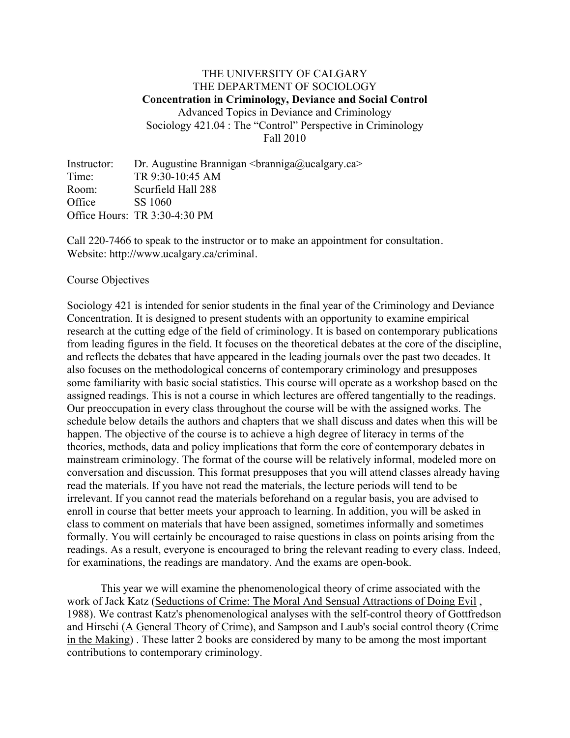## THE UNIVERSITY OF CALGARY THE DEPARTMENT OF SOCIOLOGY **Concentration in Criminology, Deviance and Social Control** Advanced Topics in Deviance and Criminology Sociology 421.04 : The "Control" Perspective in Criminology Fall 2010

Instructor: Dr. Augustine Brannigan  $\langle \text{branched}\rangle$ ucalgary.ca> Time: TR 9:30-10:45 AM Room: Scurfield Hall 288 Office SS 1060 Office Hours: TR 3:30-4:30 PM

Call 220-7466 to speak to the instructor or to make an appointment for consultation. Website: http://www.ucalgary.ca/criminal.

#### Course Objectives

Sociology 421 is intended for senior students in the final year of the Criminology and Deviance Concentration. It is designed to present students with an opportunity to examine empirical research at the cutting edge of the field of criminology. It is based on contemporary publications from leading figures in the field. It focuses on the theoretical debates at the core of the discipline, and reflects the debates that have appeared in the leading journals over the past two decades. It also focuses on the methodological concerns of contemporary criminology and presupposes some familiarity with basic social statistics. This course will operate as a workshop based on the assigned readings. This is not a course in which lectures are offered tangentially to the readings. Our preoccupation in every class throughout the course will be with the assigned works. The schedule below details the authors and chapters that we shall discuss and dates when this will be happen. The objective of the course is to achieve a high degree of literacy in terms of the theories, methods, data and policy implications that form the core of contemporary debates in mainstream criminology. The format of the course will be relatively informal, modeled more on conversation and discussion. This format presupposes that you will attend classes already having read the materials. If you have not read the materials, the lecture periods will tend to be irrelevant. If you cannot read the materials beforehand on a regular basis, you are advised to enroll in course that better meets your approach to learning. In addition, you will be asked in class to comment on materials that have been assigned, sometimes informally and sometimes formally. You will certainly be encouraged to raise questions in class on points arising from the readings. As a result, everyone is encouraged to bring the relevant reading to every class. Indeed, for examinations, the readings are mandatory. And the exams are open-book.

This year we will examine the phenomenological theory of crime associated with the work of Jack Katz (Seductions of Crime: The Moral And Sensual Attractions of Doing Evil , 1988). We contrast Katz's phenomenological analyses with the self-control theory of Gottfredson and Hirschi (A General Theory of Crime), and Sampson and Laub's social control theory (Crime in the Making) . These latter 2 books are considered by many to be among the most important contributions to contemporary criminology.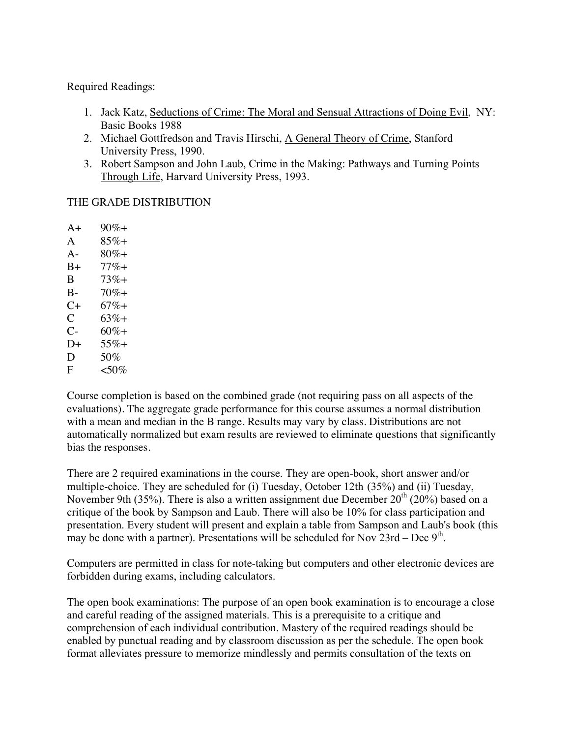Required Readings:

- 1. Jack Katz, Seductions of Crime: The Moral and Sensual Attractions of Doing Evil, NY: Basic Books 1988
- 2. Michael Gottfredson and Travis Hirschi, A General Theory of Crime, Stanford University Press, 1990.
- 3. Robert Sampson and John Laub, Crime in the Making: Pathways and Turning Points Through Life, Harvard University Press, 1993.

# THE GRADE DISTRIBUTION

 $A+ 90\% +$ A  $85\%+$  $A - 80\% +$ B+ 77%+ B 73%+  $B - 70\% +$  $C_{+}$  67%+  $C = 63% +$  $C- 60\% +$  $D+ 55\% +$ D  $50\%$ F  $<$  50%

Course completion is based on the combined grade (not requiring pass on all aspects of the evaluations). The aggregate grade performance for this course assumes a normal distribution with a mean and median in the B range. Results may vary by class. Distributions are not automatically normalized but exam results are reviewed to eliminate questions that significantly bias the responses.

There are 2 required examinations in the course. They are open-book, short answer and/or multiple-choice. They are scheduled for (i) Tuesday, October 12th (35%) and (ii) Tuesday, November 9th (35%). There is also a written assignment due December  $20^{th}$  (20%) based on a critique of the book by Sampson and Laub. There will also be 10% for class participation and presentation. Every student will present and explain a table from Sampson and Laub's book (this may be done with a partner). Presentations will be scheduled for Nov  $23rd - Dec 9<sup>th</sup>$ .

Computers are permitted in class for note-taking but computers and other electronic devices are forbidden during exams, including calculators.

The open book examinations: The purpose of an open book examination is to encourage a close and careful reading of the assigned materials. This is a prerequisite to a critique and comprehension of each individual contribution. Mastery of the required readings should be enabled by punctual reading and by classroom discussion as per the schedule. The open book format alleviates pressure to memorize mindlessly and permits consultation of the texts on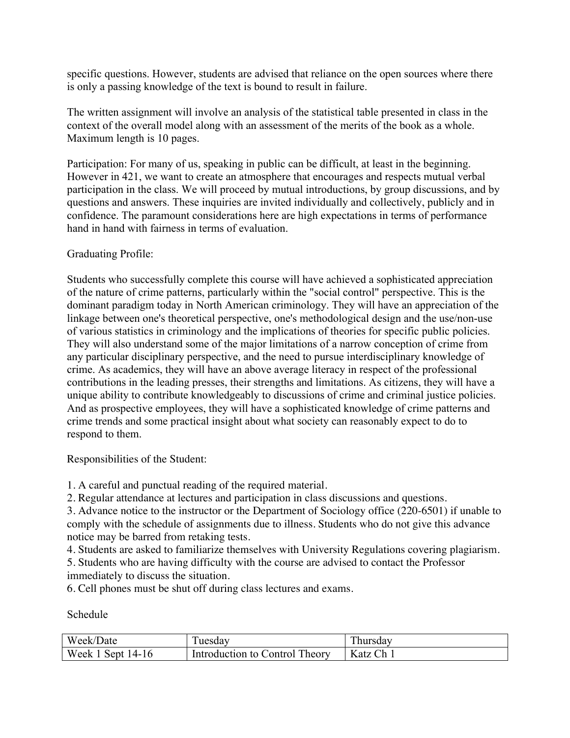specific questions. However, students are advised that reliance on the open sources where there is only a passing knowledge of the text is bound to result in failure.

The written assignment will involve an analysis of the statistical table presented in class in the context of the overall model along with an assessment of the merits of the book as a whole. Maximum length is 10 pages.

Participation: For many of us, speaking in public can be difficult, at least in the beginning. However in 421, we want to create an atmosphere that encourages and respects mutual verbal participation in the class. We will proceed by mutual introductions, by group discussions, and by questions and answers. These inquiries are invited individually and collectively, publicly and in confidence. The paramount considerations here are high expectations in terms of performance hand in hand with fairness in terms of evaluation.

### Graduating Profile:

Students who successfully complete this course will have achieved a sophisticated appreciation of the nature of crime patterns, particularly within the "social control" perspective. This is the dominant paradigm today in North American criminology. They will have an appreciation of the linkage between one's theoretical perspective, one's methodological design and the use/non-use of various statistics in criminology and the implications of theories for specific public policies. They will also understand some of the major limitations of a narrow conception of crime from any particular disciplinary perspective, and the need to pursue interdisciplinary knowledge of crime. As academics, they will have an above average literacy in respect of the professional contributions in the leading presses, their strengths and limitations. As citizens, they will have a unique ability to contribute knowledgeably to discussions of crime and criminal justice policies. And as prospective employees, they will have a sophisticated knowledge of crime patterns and crime trends and some practical insight about what society can reasonably expect to do to respond to them.

Responsibilities of the Student:

1. A careful and punctual reading of the required material.

2. Regular attendance at lectures and participation in class discussions and questions.

3. Advance notice to the instructor or the Department of Sociology office (220-6501) if unable to comply with the schedule of assignments due to illness. Students who do not give this advance notice may be barred from retaking tests.

4. Students are asked to familiarize themselves with University Regulations covering plagiarism.

5. Students who are having difficulty with the course are advised to contact the Professor immediately to discuss the situation.

6. Cell phones must be shut off during class lectures and exams.

Schedule

| Week/Date  | uesday                  | hursdav |
|------------|-------------------------|---------|
| Week.      | Theory                  | Ch      |
| Sept 14-16 | Introduction to Control | Katz C  |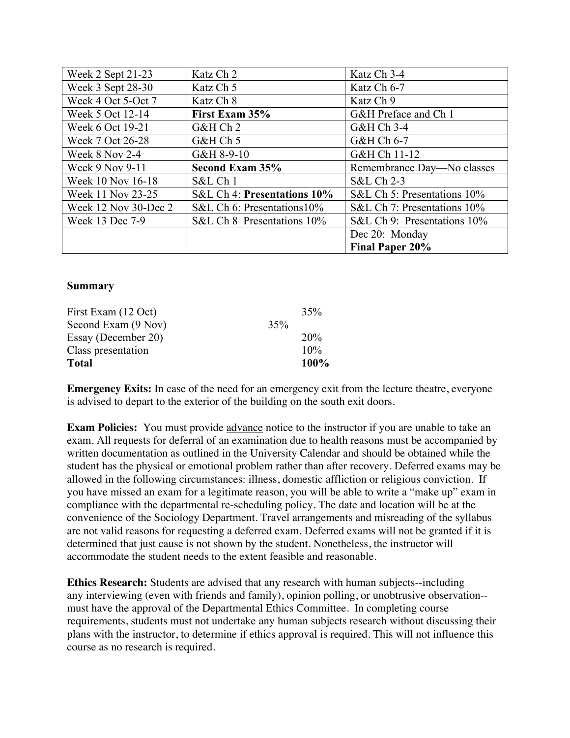| Week 2 Sept 21-23    | Katz Ch 2                      | Katz Ch 3-4                 |  |
|----------------------|--------------------------------|-----------------------------|--|
| Week 3 Sept 28-30    | Katz Ch 5                      | Katz Ch 6-7                 |  |
| Week 4 Oct 5-Oct 7   | Katz Ch 8                      | Katz Ch 9                   |  |
| Week 5 Oct 12-14     | First Exam 35%                 | G&H Preface and Ch 1        |  |
| Week 6 Oct 19-21     | G&H Ch 2                       | G&H Ch 3-4                  |  |
| Week 7 Oct 26-28     | G&H Ch 5                       | G&H Ch 6-7                  |  |
| Week 8 Nov 2-4       | G&H 8-9-10                     | G&H Ch 11-12                |  |
| Week 9 Nov 9-11      | Second Exam 35%                | Remembrance Day-No classes  |  |
| Week 10 Nov 16-18    | S&L Ch 1                       | S&L Ch 2-3                  |  |
| Week 11 Nov 23-25    | S&L Ch 4: Presentations 10%    | S&L Ch 5: Presentations 10% |  |
| Week 12 Nov 30-Dec 2 | S&L Ch 6: Presentations $10\%$ | S&L Ch 7: Presentations 10% |  |
| Week 13 Dec 7-9      | S&L Ch 8 Presentations 10%     | S&L Ch 9: Presentations 10% |  |
|                      |                                | Dec 20: Monday              |  |
|                      |                                | Final Paper 20%             |  |

#### **Summary**

| First Exam (12 Oct) |     | 35%  |
|---------------------|-----|------|
| Second Exam (9 Nov) | 35% |      |
| Essay (December 20) |     | 20%  |
| Class presentation  |     | 10%  |
| <b>Total</b>        |     | 100% |

**Emergency Exits:** In case of the need for an emergency exit from the lecture theatre, everyone is advised to depart to the exterior of the building on the south exit doors.

**Exam Policies:** You must provide advance notice to the instructor if you are unable to take an exam. All requests for deferral of an examination due to health reasons must be accompanied by written documentation as outlined in the University Calendar and should be obtained while the student has the physical or emotional problem rather than after recovery. Deferred exams may be allowed in the following circumstances: illness, domestic affliction or religious conviction. If you have missed an exam for a legitimate reason, you will be able to write a "make up" exam in compliance with the departmental re-scheduling policy. The date and location will be at the convenience of the Sociology Department. Travel arrangements and misreading of the syllabus are not valid reasons for requesting a deferred exam. Deferred exams will not be granted if it is determined that just cause is not shown by the student. Nonetheless, the instructor will accommodate the student needs to the extent feasible and reasonable.

**Ethics Research:** Students are advised that any research with human subjects--including any interviewing (even with friends and family), opinion polling, or unobtrusive observation- must have the approval of the Departmental Ethics Committee. In completing course requirements, students must not undertake any human subjects research without discussing their plans with the instructor, to determine if ethics approval is required. This will not influence this course as no research is required.